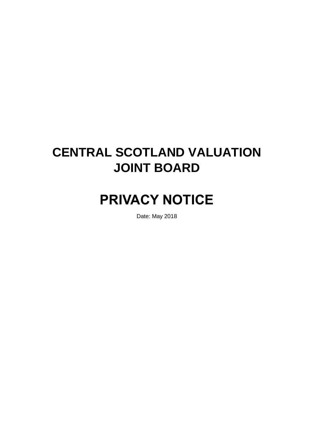# **CENTRAL SCOTLAND VALUATION JOINT BOARD**

# **PRIVACY NOTICE**

Date: May 2018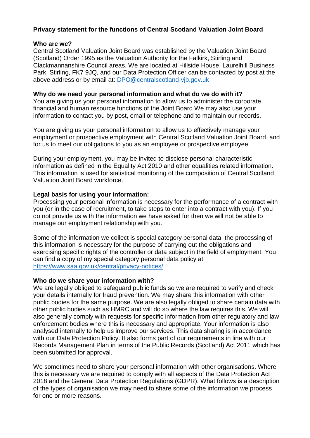# **Privacy statement for the functions of Central Scotland Valuation Joint Board**

#### **Who are we?**

Central Scotland Valuation Joint Board was established by the Valuation Joint Board (Scotland) Order 1995 as the Valuation Authority for the Falkirk, Stirling and Clackmannanshire Council areas. We are located at Hillside House, Laurelhill Business Park, Stirling, FK7 9JQ, and our Data Protection Officer can be contacted by post at the above address or by email at: [DPO@centralscotland-vjb.gov.uk](mailto:DPO@centralscotland-vjb.gov.uk)

#### **Why do we need your personal information and what do we do with it?**

You are giving us your personal information to allow us to administer the corporate, financial and human resource functions of the Joint Board We may also use your information to contact you by post, email or telephone and to maintain our records.

You are giving us your personal information to allow us to effectively manage your employment or prospective employment with Central Scotland Valuation Joint Board, and for us to meet our obligations to you as an employee or prospective employee.

During your employment, you may be invited to disclose personal characteristic information as defined in the Equality Act 2010 and other equalities related information. This information is used for statistical monitoring of the composition of Central Scotland Valuation Joint Board workforce.

#### **Legal basis for using your information:**

Processing your personal information is necessary for the performance of a contract with you (or in the case of recruitment, to take steps to enter into a contract with you). If you do not provide us with the information we have asked for then we will not be able to manage our employment relationship with you.

Some of the information we collect is special category personal data, the processing of this information is necessary for the purpose of carrying out the obligations and exercising specific rights of the controller or data subject in the field of employment. You can find a copy of my special category personal data policy at <https://www.saa.gov.uk/central/privacy-notices/>

#### **Who do we share your information with?**

We are legally obliged to safeguard public funds so we are required to verify and check your details internally for fraud prevention. We may share this information with other public bodies for the same purpose. We are also legally obliged to share certain data with other public bodies such as HMRC and will do so where the law requires this. We will also generally comply with requests for specific information from other regulatory and law enforcement bodies where this is necessary and appropriate. Your information is also analysed internally to help us improve our services. This data sharing is in accordance with our Data Protection Policy. It also forms part of our requirements in line with our Records Management Plan in terms of the Public Records (Scotland) Act 2011 which has been submitted for approval.

We sometimes need to share your personal information with other organisations. Where this is necessary we are required to comply with all aspects of the Data Protection Act 2018 and the General Data Protection Regulations (GDPR). What follows is a description of the types of organisation we may need to share some of the information we process for one or more reasons.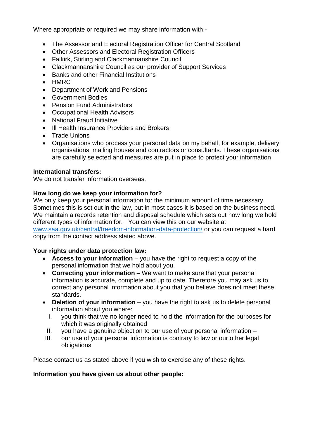Where appropriate or required we may share information with:-

- The Assessor and Electoral Registration Officer for Central Scotland
- Other Assessors and Electoral Registration Officers
- Falkirk, Stirling and Clackmannanshire Council
- Clackmannanshire Council as our provider of Support Services
- Banks and other Financial Institutions
- HMRC
- Department of Work and Pensions
- Government Bodies
- Pension Fund Administrators
- Occupational Health Advisors
- National Fraud Initiative
- III Health Insurance Providers and Brokers
- Trade Unions
- Organisations who process your personal data on my behalf, for example, delivery organisations, mailing houses and contractors or consultants. These organisations are carefully selected and measures are put in place to protect your information

#### **International transfers:**

We do not transfer information overseas.

#### **How long do we keep your information for?**

We only keep your personal information for the minimum amount of time necessary. Sometimes this is set out in the law, but in most cases it is based on the business need. We maintain a records retention and disposal schedule which sets out how long we hold different types of information for. You can view this on our website at [www.saa.gov.uk/central/freedom-information-data-protection/](http://www.saa.gov.uk/central/freedom-information-data-protection/) or you can request a hard copy from the contact address stated above.

#### **Your rights under data protection law:**

- **Access to your information** you have the right to request a copy of the personal information that we hold about you.
- **Correcting your information** We want to make sure that your personal information is accurate, complete and up to date. Therefore you may ask us to correct any personal information about you that you believe does not meet these standards.
- **Deletion of your information** you have the right to ask us to delete personal information about you where:
	- I. you think that we no longer need to hold the information for the purposes for which it was originally obtained
	- II. you have a genuine objection to our use of your personal information –
	- III. our use of your personal information is contrary to law or our other legal obligations

Please contact us as stated above if you wish to exercise any of these rights.

#### **Information you have given us about other people:**